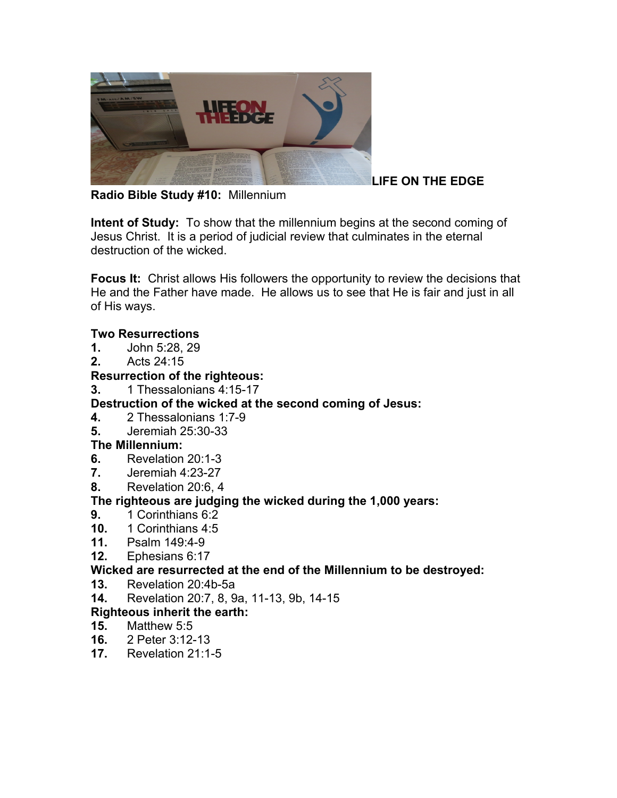

### **LIFE ON THE EDGE**

**Radio Bible Study #10:** Millennium

**Intent of Study:** To show that the millennium begins at the second coming of Jesus Christ. It is a period of judicial review that culminates in the eternal destruction of the wicked.

**Focus It:** Christ allows His followers the opportunity to review the decisions that He and the Father have made. He allows us to see that He is fair and just in all of His ways.

#### **Two Resurrections**

- **1.** John 5:28, 29
- **2.** Acts 24:15

### **Resurrection of the righteous:**

**3.** 1 Thessalonians 4:15-17

### **Destruction of the wicked at the second coming of Jesus:**

- **4.** 2 Thessalonians 1:7-9
- **5.** Jeremiah 25:30-33

### **The Millennium:**

- **6.** Revelation 20:1-3
- **7.** Jeremiah 4:23-27
- **8.** Revelation 20:6, 4

### **The righteous are judging the wicked during the 1,000 years:**

- **9.** 1 Corinthians 6:2
- **10.** 1 Corinthians 4:5
- **11.** Psalm 149:4-9
- **12.** Ephesians 6:17

### **Wicked are resurrected at the end of the Millennium to be destroyed:**

- **13.** Revelation 20:4b-5a
- **14.** Revelation 20:7, 8, 9a, 11-13, 9b, 14-15

### **Righteous inherit the earth:**

- **15.** Matthew 5:5
- **16.** 2 Peter 3:12-13
- **17.** Revelation 21:1-5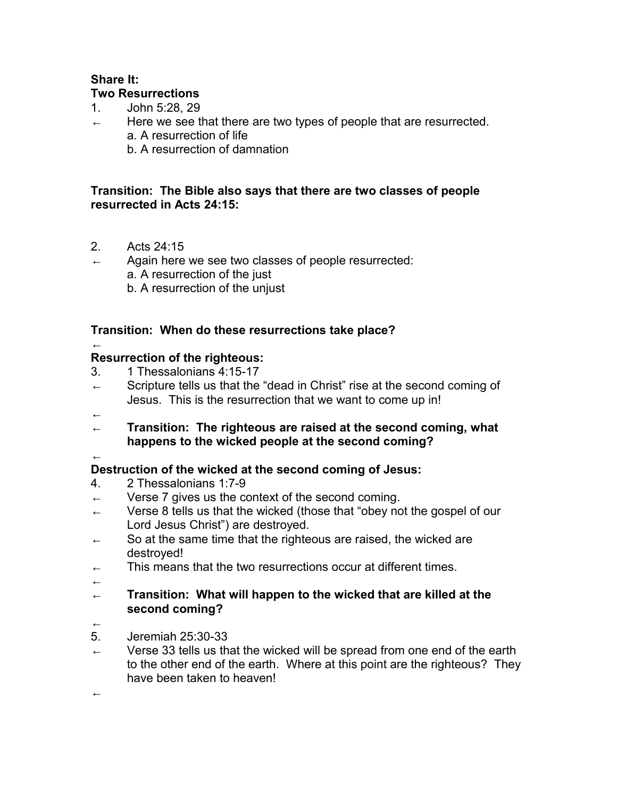#### **Share It: Two Resurrections**

- 1. John 5:28, 29
- $\leftarrow$  Here we see that there are two types of people that are resurrected. a. A resurrection of life
	- b. A resurrection of damnation

#### **Transition: The Bible also says that there are two classes of people resurrected in Acts 24:15:**

- 2. Acts 24:15
- Again here we see two classes of people resurrected: a. A resurrection of the just b. A resurrection of the unjust

### **Transition: When do these resurrections take place?**

### **Resurrection of the righteous:**

- 3. 1 Thessalonians 4:15-17
- $\leftarrow$  Scripture tells us that the "dead in Christ" rise at the second coming of Jesus. This is the resurrection that we want to come up in!
- ←

←

- ← **Transition: The righteous are raised at the second coming, what happens to the wicked people at the second coming?**
- ←

### **Destruction of the wicked at the second coming of Jesus:**

- 4. 2 Thessalonians 1:7-9
- ← Verse 7 gives us the context of the second coming.
- $\leftarrow$  Verse 8 tells us that the wicked (those that "obey not the gospel of our Lord Jesus Christ") are destroyed.
- $\leftarrow$  So at the same time that the righteous are raised, the wicked are destroyed!
- $\leftarrow$  This means that the two resurrections occur at different times.
- ←

#### ← **Transition: What will happen to the wicked that are killed at the second coming?**

←

←

- 5. Jeremiah 25:30-33
- $\leftarrow$  Verse 33 tells us that the wicked will be spread from one end of the earth to the other end of the earth. Where at this point are the righteous? They have been taken to heaven!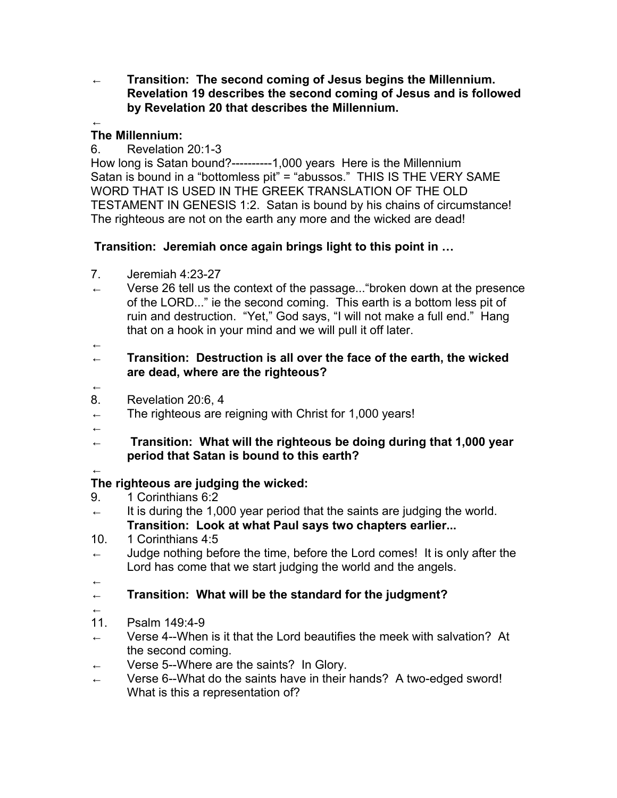← **Transition: The second coming of Jesus begins the Millennium. Revelation 19 describes the second coming of Jesus and is followed by Revelation 20 that describes the Millennium.**

#### ← **The Millennium:**

6. Revelation 20:1-3

How long is Satan bound?----------1,000 years Here is the Millennium Satan is bound in a "bottomless pit" = "abussos." THIS IS THE VERY SAME WORD THAT IS USED IN THE GREEK TRANSLATION OF THE OLD TESTAMENT IN GENESIS 1:2. Satan is bound by his chains of circumstance! The righteous are not on the earth any more and the wicked are dead!

### **Transition: Jeremiah once again brings light to this point in …**

- 7. Jeremiah 4:23-27
- $\leftarrow$  Verse 26 tell us the context of the passage... "broken down at the presence of the LORD..." ie the second coming. This earth is a bottom less pit of ruin and destruction. "Yet," God says, "I will not make a full end." Hang that on a hook in your mind and we will pull it off later.

#### ← ← **Transition: Destruction is all over the face of the earth, the wicked are dead, where are the righteous?**

- ←
- 8. Revelation 20:6, 4
- $\leftarrow$  The righteous are reigning with Christ for 1,000 years!
- ←
- ← **Transition: What will the righteous be doing during that 1,000 year period that Satan is bound to this earth?**

# ←

### **The righteous are judging the wicked:**

- 9. 1 Corinthians 6:2
- $\leftarrow$  It is during the 1,000 year period that the saints are judging the world. **Transition: Look at what Paul says two chapters earlier...**
- 10. 1 Corinthians 4:5
- $\leftarrow$  Judge nothing before the time, before the Lord comes! It is only after the Lord has come that we start judging the world and the angels.
- ←
- ← **Transition: What will be the standard for the judgment?**
- ←
- 11. Psalm 149:4-9
- $\leftarrow$  Verse 4--When is it that the Lord beautifies the meek with salvation? At the second coming.
- ← Verse 5--Where are the saints? In Glory.
- ← Verse 6--What do the saints have in their hands? A two-edged sword! What is this a representation of?